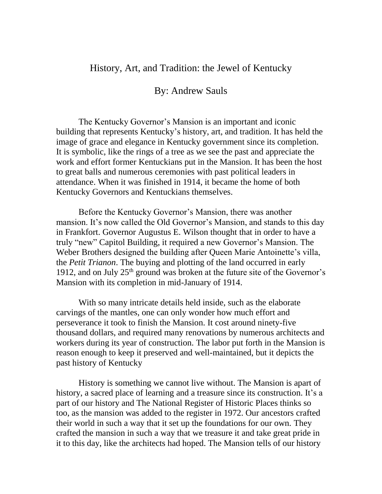## History, Art, and Tradition: the Jewel of Kentucky

## By: Andrew Sauls

The Kentucky Governor's Mansion is an important and iconic building that represents Kentucky's history, art, and tradition. It has held the image of grace and elegance in Kentucky government since its completion. It is symbolic, like the rings of a tree as we see the past and appreciate the work and effort former Kentuckians put in the Mansion. It has been the host to great balls and numerous ceremonies with past political leaders in attendance. When it was finished in 1914, it became the home of both Kentucky Governors and Kentuckians themselves.

Before the Kentucky Governor's Mansion, there was another mansion. It's now called the Old Governor's Mansion, and stands to this day in Frankfort. Governor Augustus E. Wilson thought that in order to have a truly "new" Capitol Building, it required a new Governor's Mansion. The Weber Brothers designed the building after Queen Marie Antoinette's villa, the *Petit Trianon*. The buying and plotting of the land occurred in early 1912, and on July  $25<sup>th</sup>$  ground was broken at the future site of the Governor's Mansion with its completion in mid-January of 1914.

With so many intricate details held inside, such as the elaborate carvings of the mantles, one can only wonder how much effort and perseverance it took to finish the Mansion. It cost around ninety-five thousand dollars, and required many renovations by numerous architects and workers during its year of construction. The labor put forth in the Mansion is reason enough to keep it preserved and well-maintained, but it depicts the past history of Kentucky

History is something we cannot live without. The Mansion is apart of history, a sacred place of learning and a treasure since its construction. It's a part of our history and The National Register of Historic Places thinks so too, as the mansion was added to the register in 1972. Our ancestors crafted their world in such a way that it set up the foundations for our own. They crafted the mansion in such a way that we treasure it and take great pride in it to this day, like the architects had hoped. The Mansion tells of our history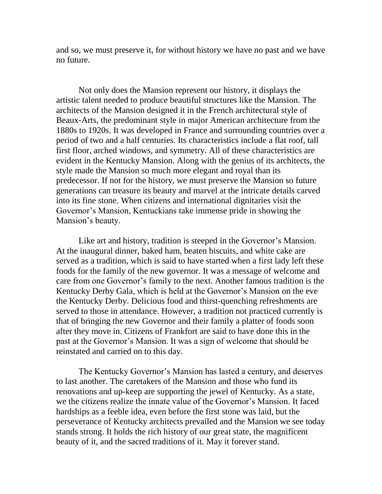and so, we must preserve it, for without history we have no past and we have no future.

Not only does the Mansion represent our history, it displays the artistic talent needed to produce beautiful structures like the Mansion. The architects of the Mansion designed it in the French architectural style of Beaux-Arts, the predominant style in major American architecture from the 1880s to 1920s. It was developed in France and surrounding countries over a period of two and a half centuries. Its characteristics include a flat roof, tall first floor, arched windows, and symmetry. All of these characteristics are evident in the Kentucky Mansion. Along with the genius of its architects, the style made the Mansion so much more elegant and royal than its predecessor. If not for the history, we must preserve the Mansion so future generations can treasure its beauty and marvel at the intricate details carved into its fine stone. When citizens and international dignitaries visit the Governor's Mansion, Kentuckians take immense pride in showing the Mansion's beauty.

Like art and history, tradition is steeped in the Governor's Mansion. At the inaugural dinner, baked ham, beaten biscuits, and white cake are served as a tradition, which is said to have started when a first lady left these foods for the family of the new governor. It was a message of welcome and care from one Governor's family to the next. Another famous tradition is the Kentucky Derby Gala, which is held at the Governor's Mansion on the eve the Kentucky Derby. Delicious food and thirst-quenching refreshments are served to those in attendance. However, a tradition not practiced currently is that of bringing the new Governor and their family a platter of foods soon after they move in. Citizens of Frankfort are said to have done this in the past at the Governor's Mansion. It was a sign of welcome that should be reinstated and carried on to this day.

The Kentucky Governor's Mansion has lasted a century, and deserves to last another. The caretakers of the Mansion and those who fund its renovations and up-keep are supporting the jewel of Kentucky. As a state, we the citizens realize the innate value of the Governor's Mansion. It faced hardships as a feeble idea, even before the first stone was laid, but the perseverance of Kentucky architects prevailed and the Mansion we see today stands strong. It holds the rich history of our great state, the magnificent beauty of it, and the sacred traditions of it. May it forever stand.